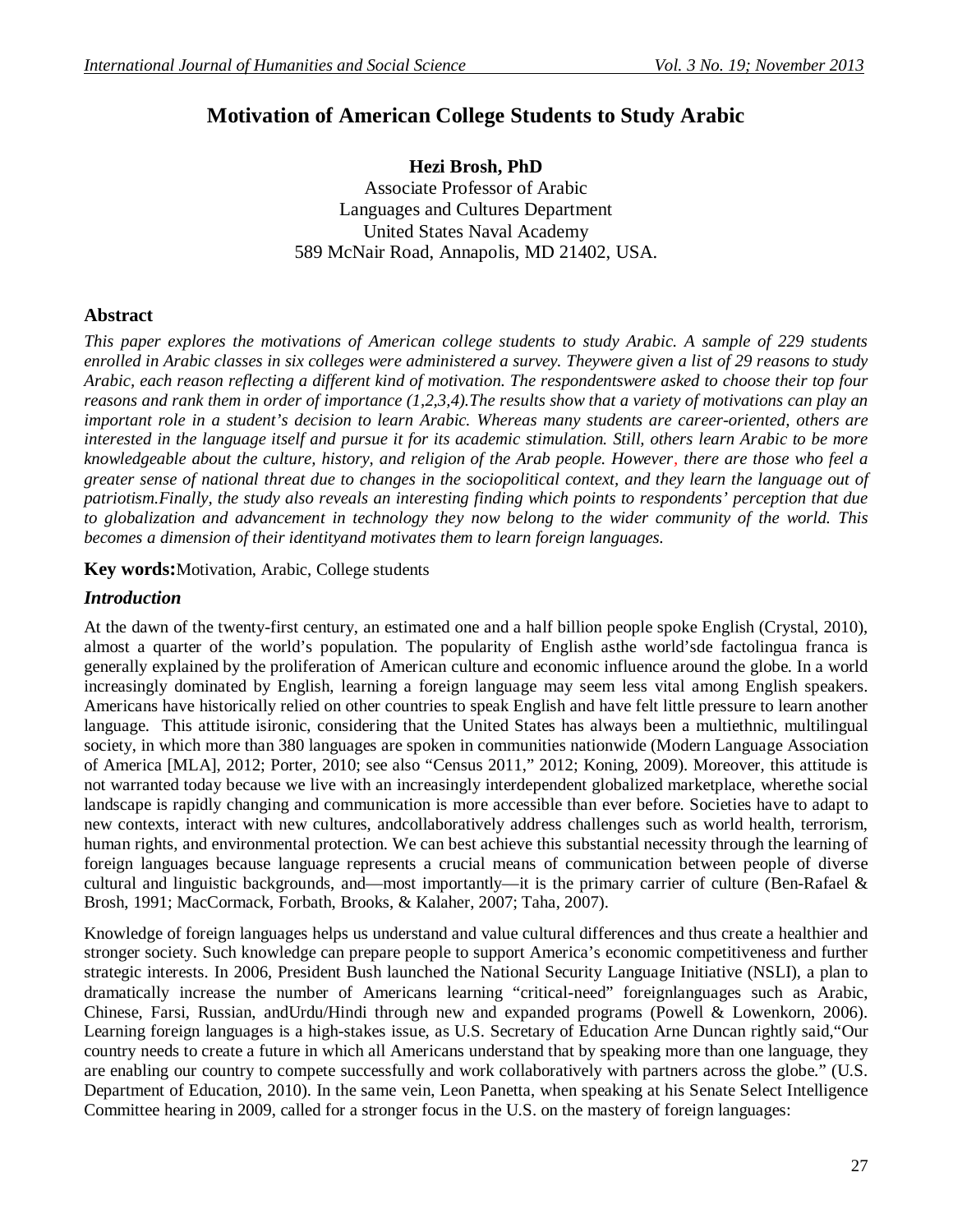# **Motivation of American College Students to Study Arabic**

**Hezi Brosh, PhD** Associate Professor of Arabic Languages and Cultures Department United States Naval Academy 589 McNair Road, Annapolis, MD 21402, USA.

# **Abstract**

*This paper explores the motivations of American college students to study Arabic. A sample of 229 students enrolled in Arabic classes in six colleges were administered a survey. Theywere given a list of 29 reasons to study Arabic, each reason reflecting a different kind of motivation. The respondentswere asked to choose their top four reasons and rank them in order of importance (1,2,3,4).The results show that a variety of motivations can play an important role in a student's decision to learn Arabic. Whereas many students are career-oriented, others are interested in the language itself and pursue it for its academic stimulation. Still, others learn Arabic to be more knowledgeable about the culture, history, and religion of the Arab people. However, there are those who feel a greater sense of national threat due to changes in the sociopolitical context, and they learn the language out of patriotism.Finally, the study also reveals an interesting finding which points to respondents' perception that due to globalization and advancement in technology they now belong to the wider community of the world. This becomes a dimension of their identityand motivates them to learn foreign languages.* 

**Key words:**Motivation, Arabic, College students

# *Introduction*

At the dawn of the twenty-first century, an estimated one and a half billion people spoke English (Crystal, 2010), almost a quarter of the world's population. The popularity of English asthe world'sde factolingua franca is generally explained by the proliferation of American culture and economic influence around the globe. In a world increasingly dominated by English, learning a foreign language may seem less vital among English speakers. Americans have historically relied on other countries to speak English and have felt little pressure to learn another language. This attitude isironic, considering that the United States has always been a multiethnic, multilingual society, in which more than 380 languages are spoken in communities nationwide (Modern Language Association of America [MLA], 2012; Porter, 2010; see also "Census 2011," 2012; Koning, 2009). Moreover, this attitude is not warranted today because we live with an increasingly interdependent globalized marketplace, wherethe social landscape is rapidly changing and communication is more accessible than ever before. Societies have to adapt to new contexts, interact with new cultures, andcollaboratively address challenges such as world health, terrorism, human rights, and environmental protection. We can best achieve this substantial necessity through the learning of foreign languages because language represents a crucial means of communication between people of diverse cultural and linguistic backgrounds, and—most importantly—it is the primary carrier of culture (Ben-Rafael & Brosh, 1991; MacCormack, Forbath, Brooks, & Kalaher, 2007; Taha, 2007).

Knowledge of foreign languages helps us understand and value cultural differences and thus create a healthier and stronger society. Such knowledge can prepare people to support America's economic competitiveness and further strategic interests. In 2006, President Bush launched the National Security Language Initiative (NSLI), a plan to dramatically increase the number of Americans learning "critical-need" foreignlanguages such as Arabic, Chinese, Farsi, Russian, andUrdu/Hindi through new and expanded programs (Powell & Lowenkorn, 2006). Learning foreign languages is a high-stakes issue, as U.S. Secretary of Education Arne Duncan rightly said,"Our country needs to create a future in which all Americans understand that by speaking more than one language, they are enabling our country to compete successfully and work collaboratively with partners across the globe." (U.S. Department of Education, 2010). In the same vein, Leon Panetta, when speaking at his Senate Select Intelligence Committee hearing in 2009, called for a stronger focus in the U.S. on the mastery of foreign languages: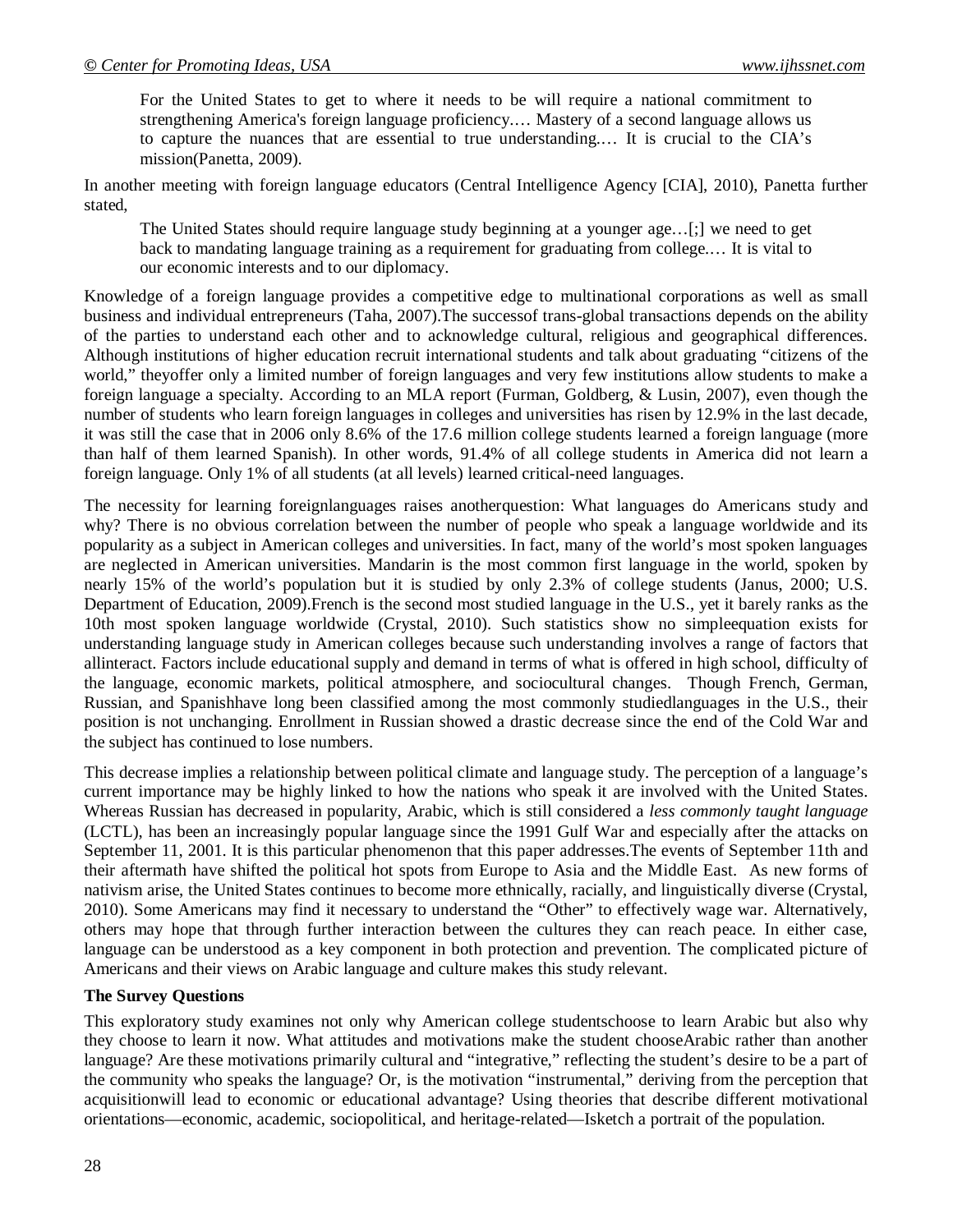For the United States to get to where it needs to be will require a national commitment to strengthening America's foreign language proficiency.… Mastery of a second language allows us to capture the nuances that are essential to true understanding.… It is crucial to the CIA's mission(Panetta, 2009).

In another meeting with foreign language educators (Central Intelligence Agency [CIA], 2010), Panetta further stated,

The United States should require language study beginning at a younger age…[;] we need to get back to mandating language training as a requirement for graduating from college.… It is vital to our economic interests and to our diplomacy.

Knowledge of a foreign language provides a competitive edge to multinational corporations as well as small business and individual entrepreneurs (Taha, 2007).The successof trans-global transactions depends on the ability of the parties to understand each other and to acknowledge cultural, religious and geographical differences. Although institutions of higher education recruit international students and talk about graduating "citizens of the world," theyoffer only a limited number of foreign languages and very few institutions allow students to make a foreign language a specialty. According to an MLA report (Furman, Goldberg, & Lusin, 2007), even though the number of students who learn foreign languages in colleges and universities has risen by 12.9% in the last decade, it was still the case that in 2006 only 8.6% of the 17.6 million college students learned a foreign language (more than half of them learned Spanish). In other words, 91.4% of all college students in America did not learn a foreign language. Only 1% of all students (at all levels) learned critical-need languages.

The necessity for learning foreignlanguages raises anotherquestion: What languages do Americans study and why? There is no obvious correlation between the number of people who speak a language worldwide and its popularity as a subject in American colleges and universities. In fact, many of the world's most spoken languages are neglected in American universities. Mandarin is the most common first language in the world, spoken by nearly 15% of the world's population but it is studied by only 2.3% of college students (Janus, 2000; U.S. Department of Education, 2009).French is the second most studied language in the U.S., yet it barely ranks as the 10th most spoken language worldwide (Crystal, 2010). Such statistics show no simpleequation exists for understanding language study in American colleges because such understanding involves a range of factors that allinteract. Factors include educational supply and demand in terms of what is offered in high school, difficulty of the language, economic markets, political atmosphere, and sociocultural changes. Though French, German, Russian, and Spanishhave long been classified among the most commonly studiedlanguages in the U.S., their position is not unchanging. Enrollment in Russian showed a drastic decrease since the end of the Cold War and the subject has continued to lose numbers.

This decrease implies a relationship between political climate and language study. The perception of a language's current importance may be highly linked to how the nations who speak it are involved with the United States. Whereas Russian has decreased in popularity, Arabic, which is still considered a *less commonly taught language*  (LCTL), has been an increasingly popular language since the 1991 Gulf War and especially after the attacks on September 11, 2001. It is this particular phenomenon that this paper addresses.The events of September 11th and their aftermath have shifted the political hot spots from Europe to Asia and the Middle East. As new forms of nativism arise, the United States continues to become more ethnically, racially, and linguistically diverse (Crystal, 2010). Some Americans may find it necessary to understand the "Other" to effectively wage war. Alternatively, others may hope that through further interaction between the cultures they can reach peace. In either case, language can be understood as a key component in both protection and prevention. The complicated picture of Americans and their views on Arabic language and culture makes this study relevant.

# **The Survey Questions**

This exploratory study examines not only why American college studentschoose to learn Arabic but also why they choose to learn it now. What attitudes and motivations make the student chooseArabic rather than another language? Are these motivations primarily cultural and "integrative," reflecting the student's desire to be a part of the community who speaks the language? Or, is the motivation "instrumental," deriving from the perception that acquisitionwill lead to economic or educational advantage? Using theories that describe different motivational orientations—economic, academic, sociopolitical, and heritage-related—Isketch a portrait of the population.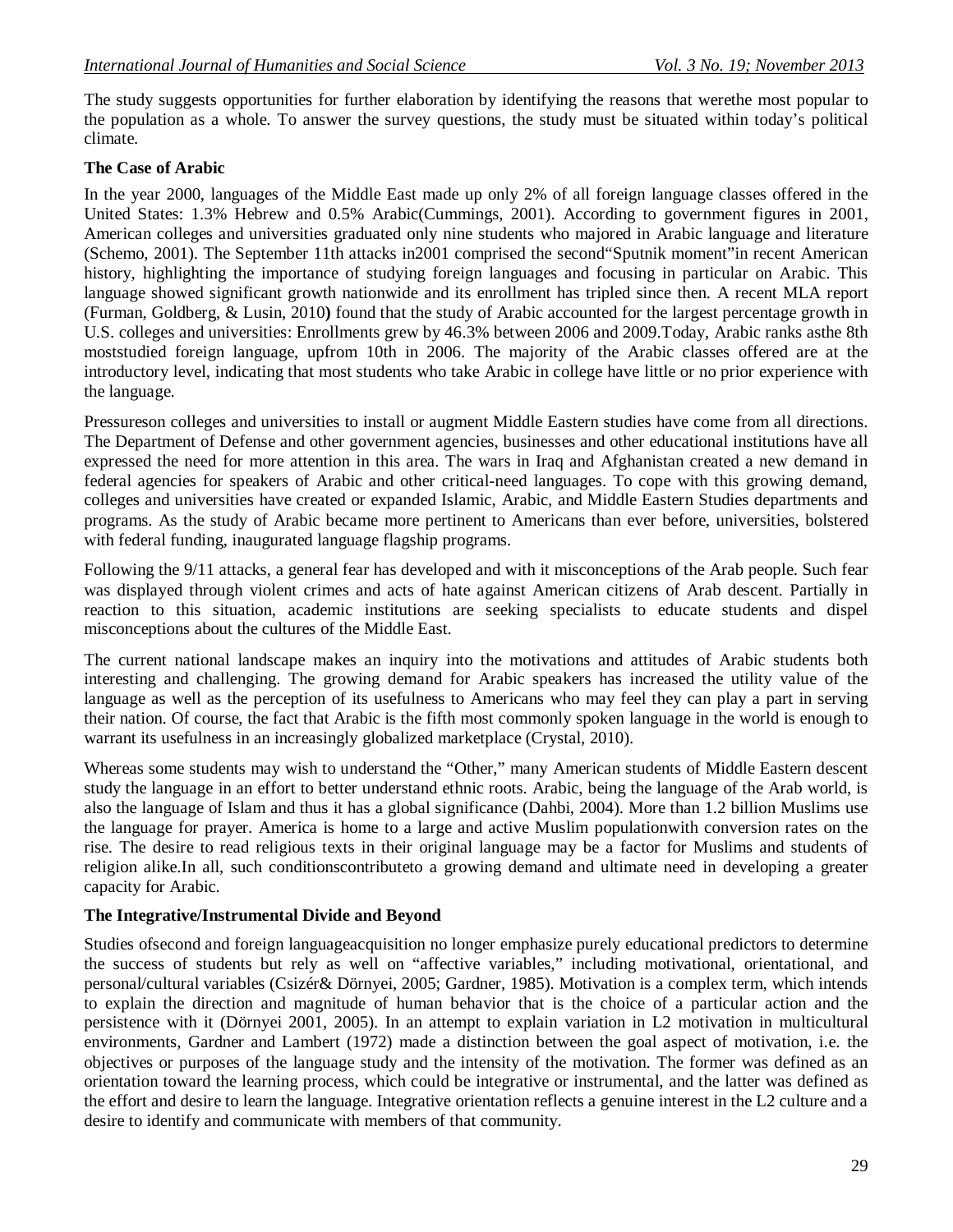The study suggests opportunities for further elaboration by identifying the reasons that werethe most popular to the population as a whole. To answer the survey questions, the study must be situated within today's political climate.

# **The Case of Arabic**

In the year 2000, languages of the Middle East made up only 2% of all foreign language classes offered in the United States: 1.3% Hebrew and 0.5% Arabic(Cummings, 2001). According to government figures in 2001, American colleges and universities graduated only nine students who majored in Arabic language and literature (Schemo, 2001). The September 11th attacks in2001 comprised the second"Sputnik moment"in recent American history, highlighting the importance of studying foreign languages and focusing in particular on Arabic. This language showed significant growth nationwide and its enrollment has tripled since then. A recent MLA report (Furman, Goldberg, & Lusin, 2010**)** found that the study of Arabic accounted for the largest percentage growth in U.S. colleges and universities: Enrollments grew by 46.3% between 2006 and 2009.Today, Arabic ranks asthe 8th moststudied foreign language, upfrom 10th in 2006. The majority of the Arabic classes offered are at the introductory level, indicating that most students who take Arabic in college have little or no prior experience with the language.

Pressureson colleges and universities to install or augment Middle Eastern studies have come from all directions. The Department of Defense and other government agencies, businesses and other educational institutions have all expressed the need for more attention in this area. The wars in Iraq and Afghanistan created a new demand in federal agencies for speakers of Arabic and other critical-need languages. To cope with this growing demand, colleges and universities have created or expanded Islamic, Arabic, and Middle Eastern Studies departments and programs. As the study of Arabic became more pertinent to Americans than ever before, universities, bolstered with federal funding, inaugurated language flagship programs.

Following the 9/11 attacks, a general fear has developed and with it misconceptions of the Arab people. Such fear was displayed through violent crimes and acts of hate against American citizens of Arab descent. Partially in reaction to this situation, academic institutions are seeking specialists to educate students and dispel misconceptions about the cultures of the Middle East.

The current national landscape makes an inquiry into the motivations and attitudes of Arabic students both interesting and challenging. The growing demand for Arabic speakers has increased the utility value of the language as well as the perception of its usefulness to Americans who may feel they can play a part in serving their nation. Of course, the fact that Arabic is the fifth most commonly spoken language in the world is enough to warrant its usefulness in an increasingly globalized marketplace (Crystal, 2010).

Whereas some students may wish to understand the "Other," many American students of Middle Eastern descent study the language in an effort to better understand ethnic roots. Arabic, being the language of the Arab world, is also the language of Islam and thus it has a global significance (Dahbi, 2004). More than 1.2 billion Muslims use the language for prayer. America is home to a large and active Muslim populationwith conversion rates on the rise. The desire to read religious texts in their original language may be a factor for Muslims and students of religion alike.In all, such conditionscontributeto a growing demand and ultimate need in developing a greater capacity for Arabic.

# **The Integrative/Instrumental Divide and Beyond**

Studies ofsecond and foreign languageacquisition no longer emphasize purely educational predictors to determine the success of students but rely as well on "affective variables," including motivational, orientational, and personal/cultural variables (Csizér& Dörnyei, 2005; Gardner, 1985). Motivation is a complex term, which intends to explain the direction and magnitude of human behavior that is the choice of a particular action and the persistence with it (Dörnyei 2001, 2005). In an attempt to explain variation in L2 motivation in multicultural environments, Gardner and Lambert (1972) made a distinction between the goal aspect of motivation, i.e. the objectives or purposes of the language study and the intensity of the motivation. The former was defined as an orientation toward the learning process, which could be integrative or instrumental, and the latter was defined as the effort and desire to learn the language. Integrative orientation reflects a genuine interest in the L2 culture and a desire to identify and communicate with members of that community.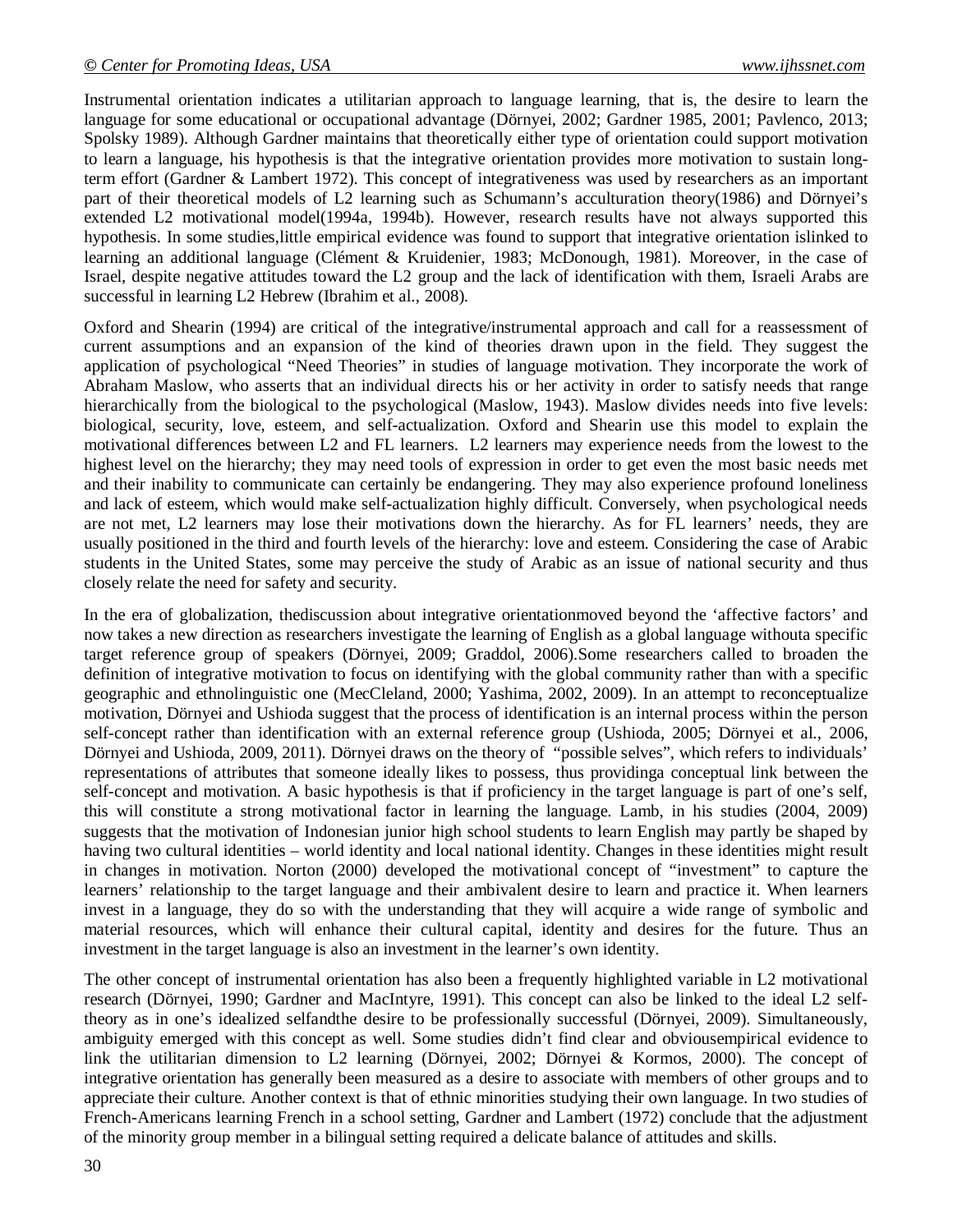Instrumental orientation indicates a utilitarian approach to language learning, that is, the desire to learn the language for some educational or occupational advantage (Dörnyei, 2002; Gardner 1985, 2001; Pavlenco, 2013; Spolsky 1989). Although Gardner maintains that theoretically either type of orientation could support motivation to learn a language, his hypothesis is that the integrative orientation provides more motivation to sustain longterm effort (Gardner & Lambert 1972). This concept of integrativeness was used by researchers as an important part of their theoretical models of L2 learning such as Schumann's acculturation theory(1986) and Dörnyei's extended L2 motivational model(1994a, 1994b). However, research results have not always supported this hypothesis. In some studies,little empirical evidence was found to support that integrative orientation islinked to learning an additional language (Clément & Kruidenier, 1983; McDonough, 1981). Moreover, in the case of Israel, despite negative attitudes toward the L2 group and the lack of identification with them, Israeli Arabs are successful in learning L2 Hebrew (Ibrahim et al., 2008).

Oxford and Shearin (1994) are critical of the integrative/instrumental approach and call for a reassessment of current assumptions and an expansion of the kind of theories drawn upon in the field. They suggest the application of psychological "Need Theories" in studies of language motivation. They incorporate the work of Abraham Maslow, who asserts that an individual directs his or her activity in order to satisfy needs that range hierarchically from the biological to the psychological (Maslow, 1943). Maslow divides needs into five levels: biological, security, love, esteem, and self-actualization. Oxford and Shearin use this model to explain the motivational differences between L2 and FL learners. L2 learners may experience needs from the lowest to the highest level on the hierarchy; they may need tools of expression in order to get even the most basic needs met and their inability to communicate can certainly be endangering. They may also experience profound loneliness and lack of esteem, which would make self-actualization highly difficult. Conversely, when psychological needs are not met, L2 learners may lose their motivations down the hierarchy. As for FL learners' needs, they are usually positioned in the third and fourth levels of the hierarchy: love and esteem. Considering the case of Arabic students in the United States, some may perceive the study of Arabic as an issue of national security and thus closely relate the need for safety and security.

In the era of globalization, thediscussion about integrative orientationmoved beyond the 'affective factors' and now takes a new direction as researchers investigate the learning of English as a global language withouta specific target reference group of speakers (Dörnyei, 2009; Graddol, 2006).Some researchers called to broaden the definition of integrative motivation to focus on identifying with the global community rather than with a specific geographic and ethnolinguistic one (MecCleland, 2000; Yashima, 2002, 2009). In an attempt to reconceptualize motivation, Dörnyei and Ushioda suggest that the process of identification is an internal process within the person self-concept rather than identification with an external reference group (Ushioda, 2005; Dörnyei et al., 2006, Dörnyei and Ushioda, 2009, 2011). Dörnyei draws on the theory of "possible selves", which refers to individuals' representations of attributes that someone ideally likes to possess, thus providinga conceptual link between the self-concept and motivation. A basic hypothesis is that if proficiency in the target language is part of one's self, this will constitute a strong motivational factor in learning the language. Lamb, in his studies (2004, 2009) suggests that the motivation of Indonesian junior high school students to learn English may partly be shaped by having two cultural identities – world identity and local national identity. Changes in these identities might result in changes in motivation. Norton (2000) developed the motivational concept of "investment" to capture the learners' relationship to the target language and their ambivalent desire to learn and practice it. When learners invest in a language, they do so with the understanding that they will acquire a wide range of symbolic and material resources, which will enhance their cultural capital, identity and desires for the future. Thus an investment in the target language is also an investment in the learner's own identity.

The other concept of instrumental orientation has also been a frequently highlighted variable in L2 motivational research (Dörnyei, 1990; Gardner and MacIntyre, 1991). This concept can also be linked to the ideal L2 selftheory as in one's idealized selfandthe desire to be professionally successful (Dörnyei, 2009). Simultaneously, ambiguity emerged with this concept as well. Some studies didn't find clear and obviousempirical evidence to link the utilitarian dimension to L2 learning (Dörnyei, 2002; Dörnyei & Kormos, 2000). The concept of integrative orientation has generally been measured as a desire to associate with members of other groups and to appreciate their culture. Another context is that of ethnic minorities studying their own language. In two studies of French-Americans learning French in a school setting, Gardner and Lambert (1972) conclude that the adjustment of the minority group member in a bilingual setting required a delicate balance of attitudes and skills.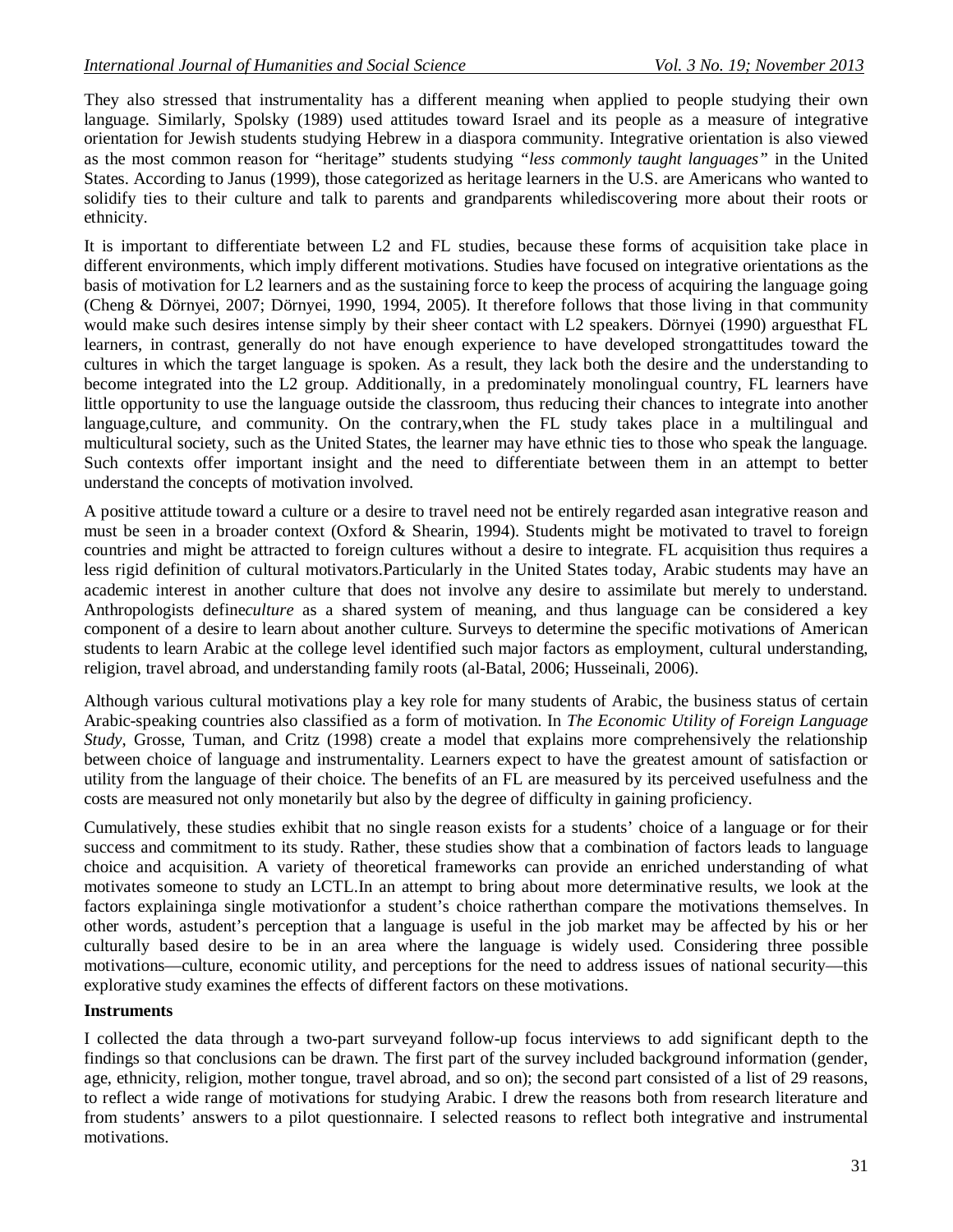They also stressed that instrumentality has a different meaning when applied to people studying their own language. Similarly, Spolsky (1989) used attitudes toward Israel and its people as a measure of integrative orientation for Jewish students studying Hebrew in a diaspora community. Integrative orientation is also viewed as the most common reason for "heritage" students studying *"less commonly taught languages"* in the United States. According to Janus (1999), those categorized as heritage learners in the U.S. are Americans who wanted to solidify ties to their culture and talk to parents and grandparents whilediscovering more about their roots or ethnicity.

It is important to differentiate between L2 and FL studies, because these forms of acquisition take place in different environments, which imply different motivations. Studies have focused on integrative orientations as the basis of motivation for L2 learners and as the sustaining force to keep the process of acquiring the language going (Cheng & Dörnyei, 2007; Dörnyei, 1990, 1994, 2005). It therefore follows that those living in that community would make such desires intense simply by their sheer contact with L2 speakers. Dörnyei (1990) arguesthat FL learners, in contrast, generally do not have enough experience to have developed strongattitudes toward the cultures in which the target language is spoken. As a result, they lack both the desire and the understanding to become integrated into the L2 group. Additionally, in a predominately monolingual country, FL learners have little opportunity to use the language outside the classroom, thus reducing their chances to integrate into another language,culture, and community. On the contrary,when the FL study takes place in a multilingual and multicultural society, such as the United States, the learner may have ethnic ties to those who speak the language. Such contexts offer important insight and the need to differentiate between them in an attempt to better understand the concepts of motivation involved.

A positive attitude toward a culture or a desire to travel need not be entirely regarded asan integrative reason and must be seen in a broader context (Oxford & Shearin, 1994). Students might be motivated to travel to foreign countries and might be attracted to foreign cultures without a desire to integrate. FL acquisition thus requires a less rigid definition of cultural motivators.Particularly in the United States today, Arabic students may have an academic interest in another culture that does not involve any desire to assimilate but merely to understand. Anthropologists define*culture* as a shared system of meaning, and thus language can be considered a key component of a desire to learn about another culture. Surveys to determine the specific motivations of American students to learn Arabic at the college level identified such major factors as employment, cultural understanding, religion, travel abroad, and understanding family roots (al-Batal, 2006; Husseinali, 2006).

Although various cultural motivations play a key role for many students of Arabic, the business status of certain Arabic-speaking countries also classified as a form of motivation. In *The Economic Utility of Foreign Language Study*, Grosse, Tuman, and Critz (1998) create a model that explains more comprehensively the relationship between choice of language and instrumentality. Learners expect to have the greatest amount of satisfaction or utility from the language of their choice. The benefits of an FL are measured by its perceived usefulness and the costs are measured not only monetarily but also by the degree of difficulty in gaining proficiency.

Cumulatively, these studies exhibit that no single reason exists for a students' choice of a language or for their success and commitment to its study. Rather, these studies show that a combination of factors leads to language choice and acquisition. A variety of theoretical frameworks can provide an enriched understanding of what motivates someone to study an LCTL.In an attempt to bring about more determinative results, we look at the factors explaininga single motivationfor a student's choice ratherthan compare the motivations themselves. In other words, astudent's perception that a language is useful in the job market may be affected by his or her culturally based desire to be in an area where the language is widely used. Considering three possible motivations—culture, economic utility, and perceptions for the need to address issues of national security—this explorative study examines the effects of different factors on these motivations.

# **Instruments**

I collected the data through a two-part surveyand follow-up focus interviews to add significant depth to the findings so that conclusions can be drawn. The first part of the survey included background information (gender, age, ethnicity, religion, mother tongue, travel abroad, and so on); the second part consisted of a list of 29 reasons, to reflect a wide range of motivations for studying Arabic. I drew the reasons both from research literature and from students' answers to a pilot questionnaire. I selected reasons to reflect both integrative and instrumental motivations.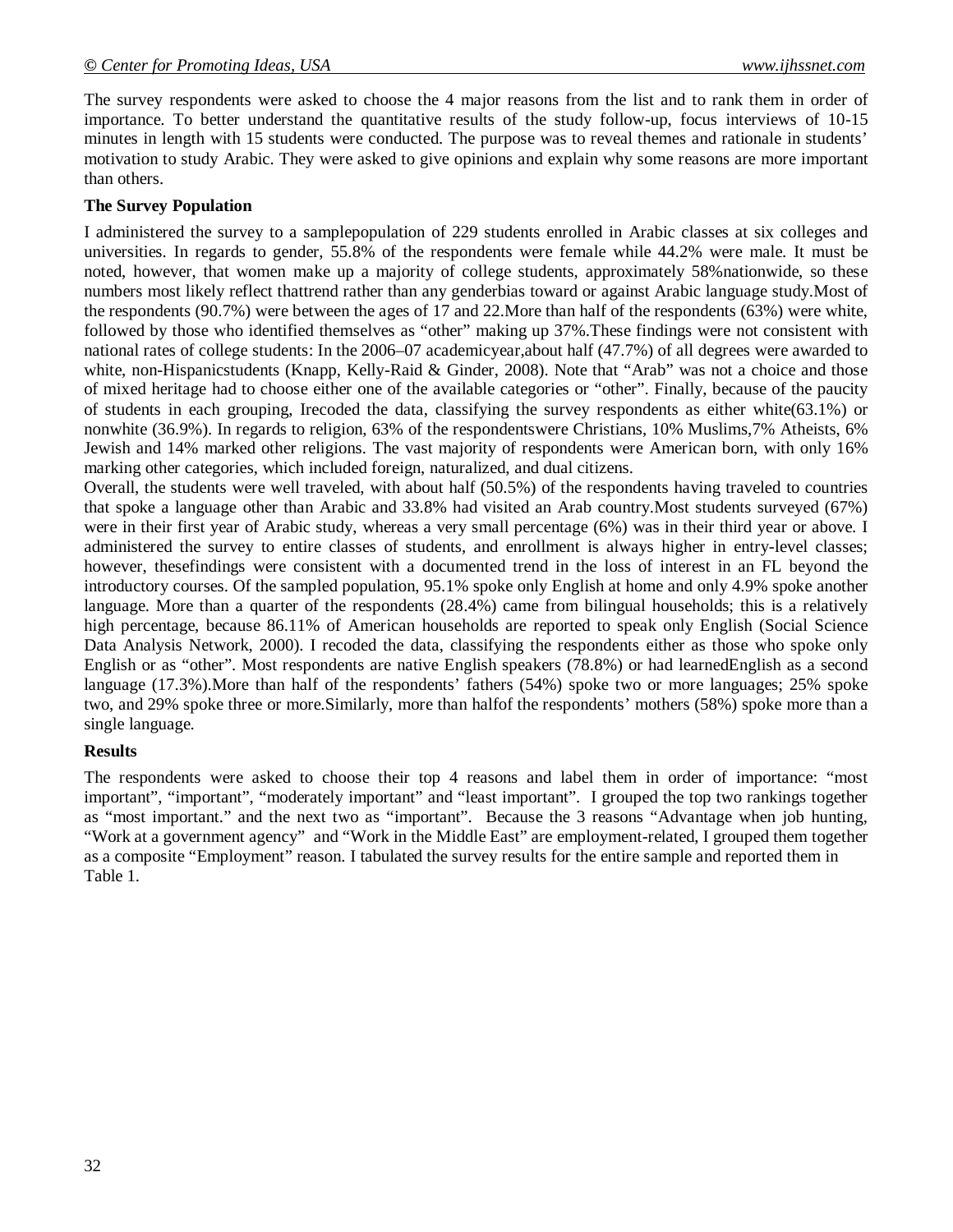The survey respondents were asked to choose the 4 major reasons from the list and to rank them in order of importance. To better understand the quantitative results of the study follow-up, focus interviews of 10-15 minutes in length with 15 students were conducted. The purpose was to reveal themes and rationale in students' motivation to study Arabic. They were asked to give opinions and explain why some reasons are more important than others.

# **The Survey Population**

I administered the survey to a samplepopulation of 229 students enrolled in Arabic classes at six colleges and universities. In regards to gender, 55.8% of the respondents were female while 44.2% were male. It must be noted, however, that women make up a majority of college students, approximately 58%nationwide, so these numbers most likely reflect thattrend rather than any genderbias toward or against Arabic language study.Most of the respondents (90.7%) were between the ages of 17 and 22.More than half of the respondents (63%) were white, followed by those who identified themselves as "other" making up 37%.These findings were not consistent with national rates of college students: In the 2006–07 academicyear,about half (47.7%) of all degrees were awarded to white, non-Hispanicstudents (Knapp, Kelly-Raid & Ginder, 2008). Note that "Arab" was not a choice and those of mixed heritage had to choose either one of the available categories or "other". Finally, because of the paucity of students in each grouping, Irecoded the data, classifying the survey respondents as either white(63.1%) or nonwhite (36.9%). In regards to religion, 63% of the respondentswere Christians, 10% Muslims,7% Atheists, 6% Jewish and 14% marked other religions. The vast majority of respondents were American born, with only 16% marking other categories, which included foreign, naturalized, and dual citizens.

Overall, the students were well traveled, with about half (50.5%) of the respondents having traveled to countries that spoke a language other than Arabic and 33.8% had visited an Arab country.Most students surveyed (67%) were in their first year of Arabic study, whereas a very small percentage (6%) was in their third year or above. I administered the survey to entire classes of students, and enrollment is always higher in entry-level classes; however, thesefindings were consistent with a documented trend in the loss of interest in an FL beyond the introductory courses. Of the sampled population, 95.1% spoke only English at home and only 4.9% spoke another language. More than a quarter of the respondents (28.4%) came from bilingual households; this is a relatively high percentage, because 86.11% of American households are reported to speak only English (Social Science Data Analysis Network, 2000). I recoded the data, classifying the respondents either as those who spoke only English or as "other". Most respondents are native English speakers (78.8%) or had learnedEnglish as a second language (17.3%).More than half of the respondents' fathers (54%) spoke two or more languages; 25% spoke two, and 29% spoke three or more.Similarly, more than halfof the respondents' mothers (58%) spoke more than a single language.

#### **Results**

The respondents were asked to choose their top 4 reasons and label them in order of importance: "most important", "important", "moderately important" and "least important". I grouped the top two rankings together as "most important." and the next two as "important". Because the 3 reasons "Advantage when job hunting, "Work at a government agency" and "Work in the Middle East" are employment-related, I grouped them together as a composite "Employment" reason. I tabulated the survey results for the entire sample and reported them in Table 1.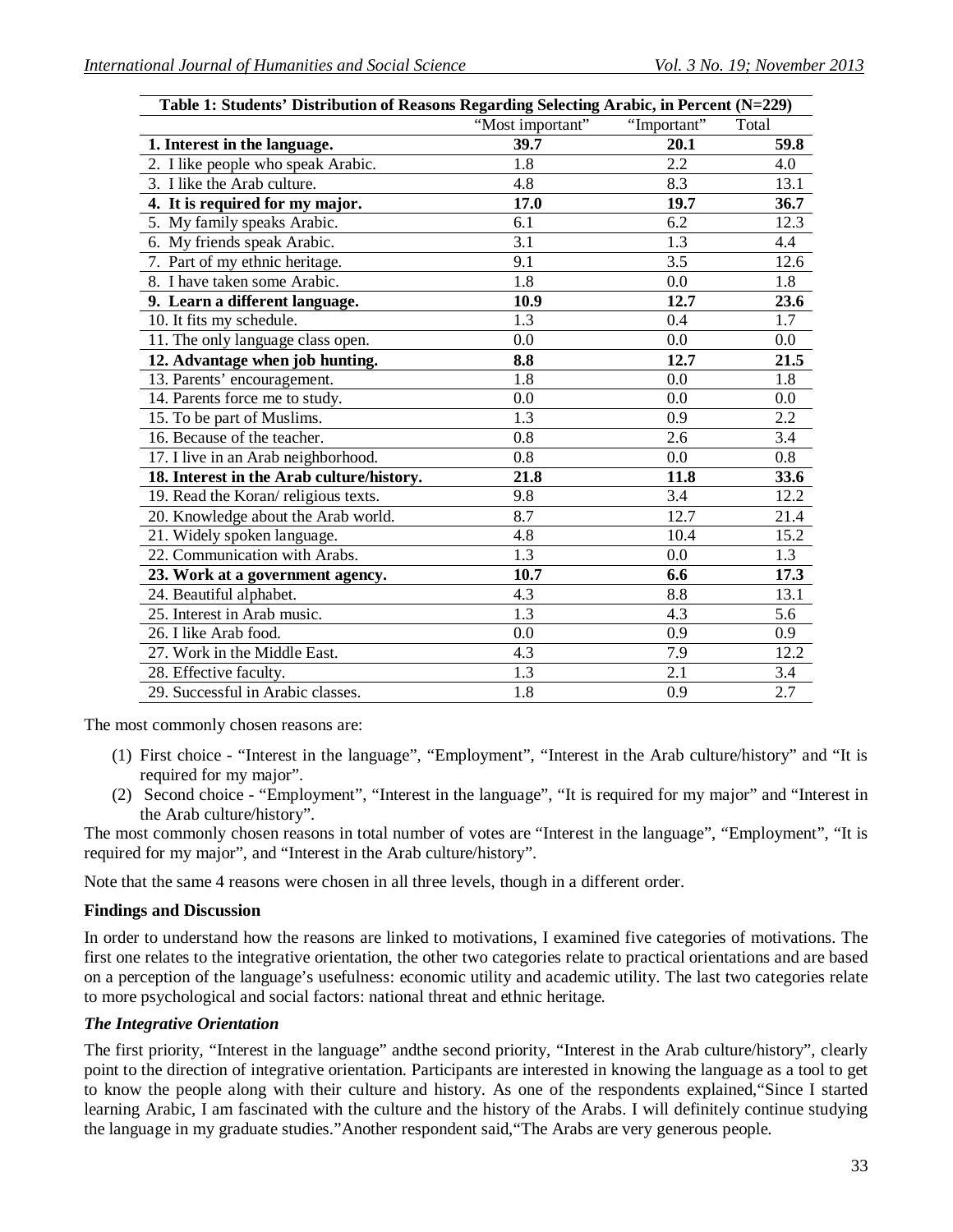| Table 1: Students' Distribution of Reasons Regarding Selecting Arabic, in Percent (N=229) |                  |                  |                  |
|-------------------------------------------------------------------------------------------|------------------|------------------|------------------|
|                                                                                           | "Most important" | "Important"      | Total            |
| 1. Interest in the language.                                                              | 39.7             | 20.1             | 59.8             |
| 2. I like people who speak Arabic.                                                        | 1.8              | 2.2              | 4.0              |
| 3. I like the Arab culture.                                                               | 4.8              | 8.3              | 13.1             |
| 4. It is required for my major.                                                           | 17.0             | 19.7             | 36.7             |
| 5. My family speaks Arabic.                                                               | 6.1              | 6.2              | 12.3             |
| 6. My friends speak Arabic.                                                               | $\overline{3.1}$ | $\overline{1.3}$ | 4.4              |
| 7. Part of my ethnic heritage.                                                            | 9.1              | 3.5              | 12.6             |
| 8. I have taken some Arabic.                                                              | 1.8              | 0.0              | 1.8              |
| 9. Learn a different language.                                                            | 10.9             | 12.7             | 23.6             |
| 10. It fits my schedule.                                                                  | 1.3              | 0.4              | 1.7              |
| 11. The only language class open.                                                         | 0.0              | 0.0              | 0.0              |
| 12. Advantage when job hunting.                                                           | 8.8              | 12.7             | 21.5             |
| 13. Parents' encouragement.                                                               | 1.8              | 0.0              | $\overline{1.8}$ |
| 14. Parents force me to study.                                                            | $0.0\,$          | 0.0              | 0.0              |
| 15. To be part of Muslims.                                                                | 1.3              | 0.9              | $\overline{2.2}$ |
| 16. Because of the teacher.                                                               | 0.8              | 2.6              | 3.4              |
| 17. I live in an Arab neighborhood.                                                       | 0.8              | 0.0              | 0.8              |
| 18. Interest in the Arab culture/history.                                                 | 21.8             | 11.8             | 33.6             |
| 19. Read the Koran/ religious texts.                                                      | 9.8              | 3.4              | 12.2             |
| 20. Knowledge about the Arab world.                                                       | 8.7              | 12.7             | 21.4             |
| 21. Widely spoken language.                                                               | 4.8              | 10.4             | 15.2             |
| 22. Communication with Arabs.                                                             | 1.3              | 0.0              | 1.3              |
| 23. Work at a government agency.                                                          | 10.7             | 6.6              | 17.3             |
| 24. Beautiful alphabet.                                                                   | 4.3              | 8.8              | 13.1             |
| 25. Interest in Arab music.                                                               | 1.3              | 4.3              | 5.6              |
| 26. I like Arab food.                                                                     | $0.0\,$          | 0.9              | 0.9              |
| 27. Work in the Middle East.                                                              | 4.3              | 7.9              | 12.2             |
| 28. Effective faculty.                                                                    | 1.3              | 2.1              | 3.4              |
| 29. Successful in Arabic classes.                                                         | 1.8              | 0.9              | 2.7              |

The most commonly chosen reasons are:

- (1) First choice "Interest in the language", "Employment", "Interest in the Arab culture/history" and "It is required for my major".
- (2) Second choice "Employment", "Interest in the language", "It is required for my major" and "Interest in the Arab culture/history".

The most commonly chosen reasons in total number of votes are "Interest in the language", "Employment", "It is required for my major", and "Interest in the Arab culture/history".

Note that the same 4 reasons were chosen in all three levels, though in a different order.

#### **Findings and Discussion**

In order to understand how the reasons are linked to motivations, I examined five categories of motivations. The first one relates to the integrative orientation, the other two categories relate to practical orientations and are based on a perception of the language's usefulness: economic utility and academic utility. The last two categories relate to more psychological and social factors: national threat and ethnic heritage.

#### *The Integrative Orientation*

The first priority, "Interest in the language" andthe second priority, "Interest in the Arab culture/history", clearly point to the direction of integrative orientation. Participants are interested in knowing the language as a tool to get to know the people along with their culture and history. As one of the respondents explained,"Since I started learning Arabic, I am fascinated with the culture and the history of the Arabs. I will definitely continue studying the language in my graduate studies."Another respondent said,"The Arabs are very generous people.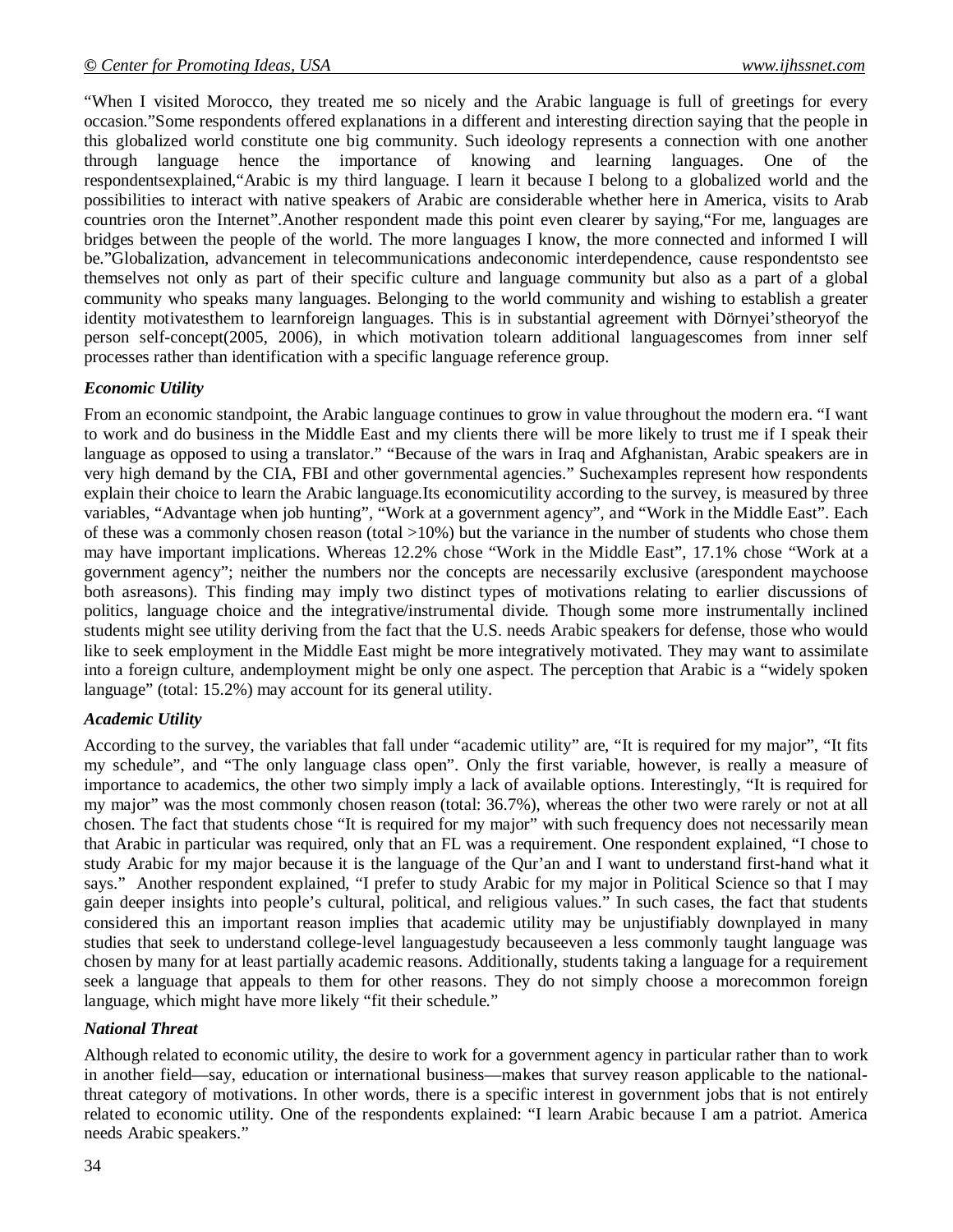"When I visited Morocco, they treated me so nicely and the Arabic language is full of greetings for every occasion."Some respondents offered explanations in a different and interesting direction saying that the people in this globalized world constitute one big community. Such ideology represents a connection with one another through language hence the importance of knowing and learning languages. One of the respondentsexplained,"Arabic is my third language. I learn it because I belong to a globalized world and the possibilities to interact with native speakers of Arabic are considerable whether here in America, visits to Arab countries oron the Internet".Another respondent made this point even clearer by saying,"For me, languages are bridges between the people of the world. The more languages I know, the more connected and informed I will be."Globalization, advancement in telecommunications andeconomic interdependence, cause respondentsto see themselves not only as part of their specific culture and language community but also as a part of a global community who speaks many languages. Belonging to the world community and wishing to establish a greater identity motivatesthem to learnforeign languages. This is in substantial agreement with Dörnyei'stheoryof the person self-concept(2005, 2006), in which motivation tolearn additional languagescomes from inner self processes rather than identification with a specific language reference group.

#### *Economic Utility*

From an economic standpoint, the Arabic language continues to grow in value throughout the modern era. "I want to work and do business in the Middle East and my clients there will be more likely to trust me if I speak their language as opposed to using a translator." "Because of the wars in Iraq and Afghanistan, Arabic speakers are in very high demand by the CIA, FBI and other governmental agencies." Suchexamples represent how respondents explain their choice to learn the Arabic language.Its economicutility according to the survey, is measured by three variables, "Advantage when job hunting", "Work at a government agency", and "Work in the Middle East". Each of these was a commonly chosen reason (total  $>10\%$ ) but the variance in the number of students who chose them may have important implications. Whereas 12.2% chose "Work in the Middle East", 17.1% chose "Work at a government agency"; neither the numbers nor the concepts are necessarily exclusive (arespondent maychoose both asreasons). This finding may imply two distinct types of motivations relating to earlier discussions of politics, language choice and the integrative/instrumental divide. Though some more instrumentally inclined students might see utility deriving from the fact that the U.S. needs Arabic speakers for defense, those who would like to seek employment in the Middle East might be more integratively motivated. They may want to assimilate into a foreign culture, andemployment might be only one aspect. The perception that Arabic is a "widely spoken language" (total: 15.2%) may account for its general utility.

#### *Academic Utility*

According to the survey, the variables that fall under "academic utility" are, "It is required for my major", "It fits my schedule", and "The only language class open". Only the first variable, however, is really a measure of importance to academics, the other two simply imply a lack of available options. Interestingly, "It is required for my major" was the most commonly chosen reason (total: 36.7%), whereas the other two were rarely or not at all chosen. The fact that students chose "It is required for my major" with such frequency does not necessarily mean that Arabic in particular was required, only that an FL was a requirement. One respondent explained, "I chose to study Arabic for my major because it is the language of the Qur'an and I want to understand first-hand what it says." Another respondent explained, "I prefer to study Arabic for my major in Political Science so that I may gain deeper insights into people's cultural, political, and religious values." In such cases, the fact that students considered this an important reason implies that academic utility may be unjustifiably downplayed in many studies that seek to understand college-level languagestudy becauseeven a less commonly taught language was chosen by many for at least partially academic reasons. Additionally, students taking a language for a requirement seek a language that appeals to them for other reasons. They do not simply choose a morecommon foreign language, which might have more likely "fit their schedule."

#### *National Threat*

Although related to economic utility, the desire to work for a government agency in particular rather than to work in another field—say, education or international business—makes that survey reason applicable to the nationalthreat category of motivations. In other words, there is a specific interest in government jobs that is not entirely related to economic utility. One of the respondents explained: "I learn Arabic because I am a patriot. America needs Arabic speakers."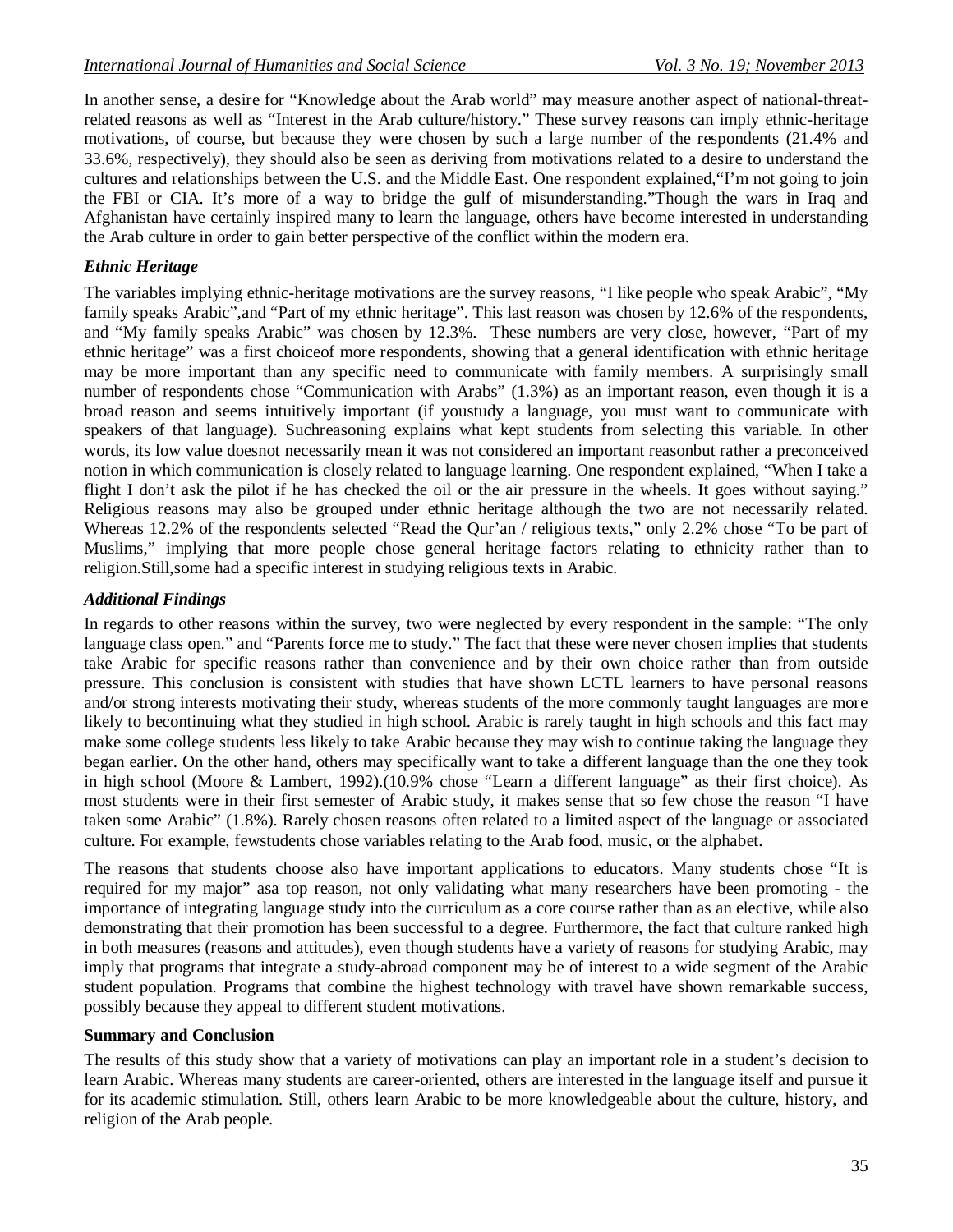In another sense, a desire for "Knowledge about the Arab world" may measure another aspect of national-threatrelated reasons as well as "Interest in the Arab culture/history." These survey reasons can imply ethnic-heritage motivations, of course, but because they were chosen by such a large number of the respondents (21.4% and 33.6%, respectively), they should also be seen as deriving from motivations related to a desire to understand the cultures and relationships between the U.S. and the Middle East. One respondent explained,"I'm not going to join the FBI or CIA. It's more of a way to bridge the gulf of misunderstanding."Though the wars in Iraq and Afghanistan have certainly inspired many to learn the language, others have become interested in understanding the Arab culture in order to gain better perspective of the conflict within the modern era.

# *Ethnic Heritage*

The variables implying ethnic-heritage motivations are the survey reasons, "I like people who speak Arabic", "My family speaks Arabic", and "Part of my ethnic heritage". This last reason was chosen by 12.6% of the respondents, and "My family speaks Arabic" was chosen by 12.3%. These numbers are very close, however, "Part of my ethnic heritage" was a first choiceof more respondents, showing that a general identification with ethnic heritage may be more important than any specific need to communicate with family members. A surprisingly small number of respondents chose "Communication with Arabs" (1.3%) as an important reason, even though it is a broad reason and seems intuitively important (if youstudy a language, you must want to communicate with speakers of that language). Suchreasoning explains what kept students from selecting this variable. In other words, its low value doesnot necessarily mean it was not considered an important reasonbut rather a preconceived notion in which communication is closely related to language learning. One respondent explained, "When I take a flight I don't ask the pilot if he has checked the oil or the air pressure in the wheels. It goes without saying." Religious reasons may also be grouped under ethnic heritage although the two are not necessarily related. Whereas 12.2% of the respondents selected "Read the Qur'an / religious texts," only 2.2% chose "To be part of Muslims," implying that more people chose general heritage factors relating to ethnicity rather than to religion.Still,some had a specific interest in studying religious texts in Arabic.

#### *Additional Findings*

In regards to other reasons within the survey, two were neglected by every respondent in the sample: "The only language class open." and "Parents force me to study." The fact that these were never chosen implies that students take Arabic for specific reasons rather than convenience and by their own choice rather than from outside pressure. This conclusion is consistent with studies that have shown LCTL learners to have personal reasons and/or strong interests motivating their study, whereas students of the more commonly taught languages are more likely to becontinuing what they studied in high school. Arabic is rarely taught in high schools and this fact may make some college students less likely to take Arabic because they may wish to continue taking the language they began earlier. On the other hand, others may specifically want to take a different language than the one they took in high school (Moore & Lambert, 1992).(10.9% chose "Learn a different language" as their first choice). As most students were in their first semester of Arabic study, it makes sense that so few chose the reason "I have taken some Arabic" (1.8%). Rarely chosen reasons often related to a limited aspect of the language or associated culture. For example, fewstudents chose variables relating to the Arab food, music, or the alphabet.

The reasons that students choose also have important applications to educators. Many students chose "It is required for my major" asa top reason, not only validating what many researchers have been promoting - the importance of integrating language study into the curriculum as a core course rather than as an elective, while also demonstrating that their promotion has been successful to a degree. Furthermore, the fact that culture ranked high in both measures (reasons and attitudes), even though students have a variety of reasons for studying Arabic, may imply that programs that integrate a study-abroad component may be of interest to a wide segment of the Arabic student population. Programs that combine the highest technology with travel have shown remarkable success, possibly because they appeal to different student motivations.

#### **Summary and Conclusion**

The results of this study show that a variety of motivations can play an important role in a student's decision to learn Arabic. Whereas many students are career-oriented, others are interested in the language itself and pursue it for its academic stimulation. Still, others learn Arabic to be more knowledgeable about the culture, history, and religion of the Arab people.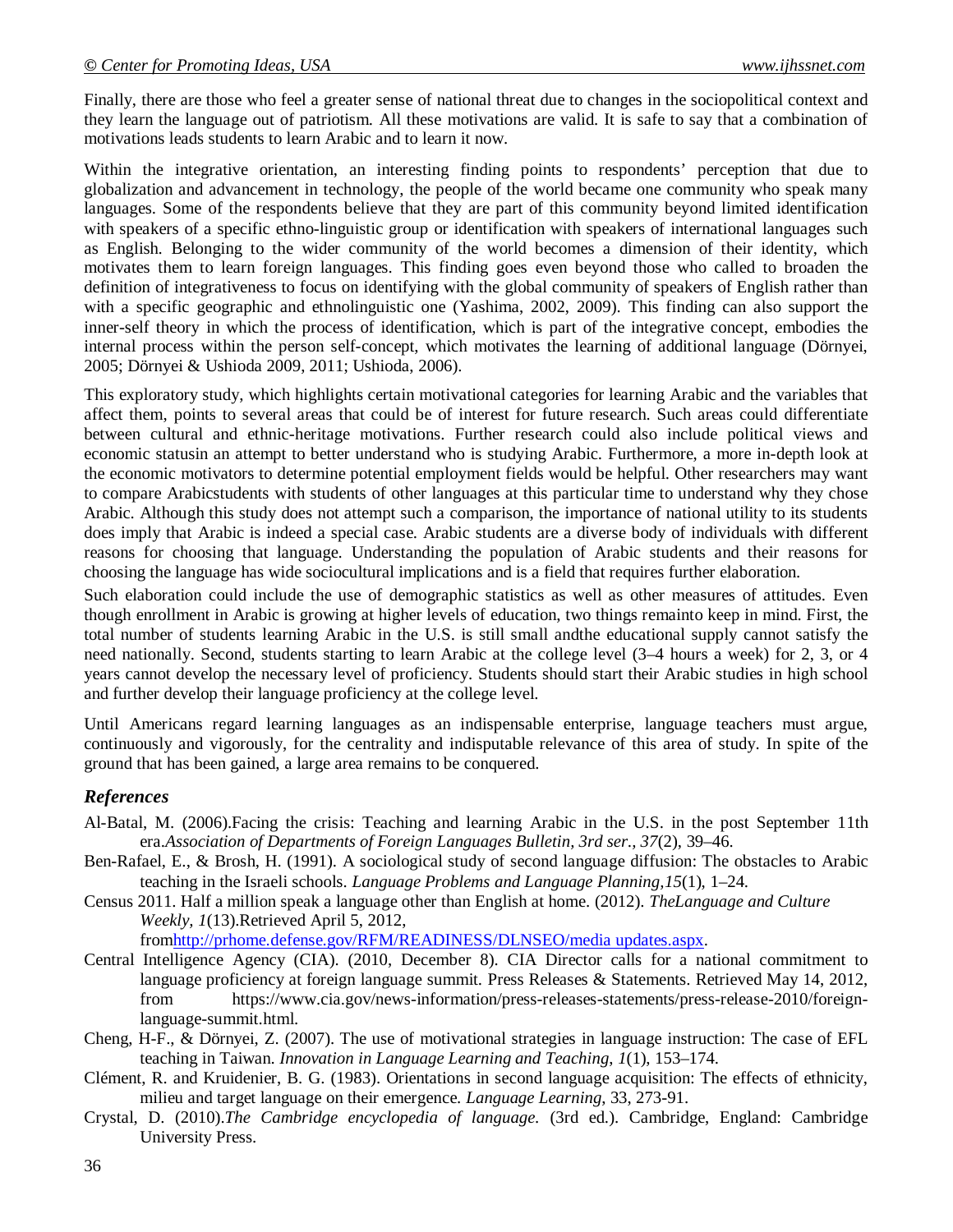Finally, there are those who feel a greater sense of national threat due to changes in the sociopolitical context and they learn the language out of patriotism. All these motivations are valid. It is safe to say that a combination of motivations leads students to learn Arabic and to learn it now.

Within the integrative orientation, an interesting finding points to respondents' perception that due to globalization and advancement in technology, the people of the world became one community who speak many languages. Some of the respondents believe that they are part of this community beyond limited identification with speakers of a specific ethno-linguistic group or identification with speakers of international languages such as English. Belonging to the wider community of the world becomes a dimension of their identity, which motivates them to learn foreign languages. This finding goes even beyond those who called to broaden the definition of integrativeness to focus on identifying with the global community of speakers of English rather than with a specific geographic and ethnolinguistic one (Yashima, 2002, 2009). This finding can also support the inner-self theory in which the process of identification, which is part of the integrative concept, embodies the internal process within the person self-concept, which motivates the learning of additional language (Dörnyei, 2005; Dörnyei & Ushioda 2009, 2011; Ushioda, 2006).

This exploratory study, which highlights certain motivational categories for learning Arabic and the variables that affect them, points to several areas that could be of interest for future research. Such areas could differentiate between cultural and ethnic-heritage motivations. Further research could also include political views and economic statusin an attempt to better understand who is studying Arabic. Furthermore, a more in-depth look at the economic motivators to determine potential employment fields would be helpful. Other researchers may want to compare Arabicstudents with students of other languages at this particular time to understand why they chose Arabic. Although this study does not attempt such a comparison, the importance of national utility to its students does imply that Arabic is indeed a special case. Arabic students are a diverse body of individuals with different reasons for choosing that language. Understanding the population of Arabic students and their reasons for choosing the language has wide sociocultural implications and is a field that requires further elaboration.

Such elaboration could include the use of demographic statistics as well as other measures of attitudes. Even though enrollment in Arabic is growing at higher levels of education, two things remainto keep in mind. First, the total number of students learning Arabic in the U.S. is still small andthe educational supply cannot satisfy the need nationally. Second, students starting to learn Arabic at the college level (3–4 hours a week) for 2, 3, or 4 years cannot develop the necessary level of proficiency. Students should start their Arabic studies in high school and further develop their language proficiency at the college level.

Until Americans regard learning languages as an indispensable enterprise, language teachers must argue, continuously and vigorously, for the centrality and indisputable relevance of this area of study. In spite of the ground that has been gained, a large area remains to be conquered.

# *References*

- Al-Batal, M. (2006).Facing the crisis: Teaching and learning Arabic in the U.S. in the post September 11th era.*Association of Departments of Foreign Languages Bulletin, 3rd ser., 37*(2), 39–46.
- Ben-Rafael, E., & Brosh, H. (1991). A sociological study of second language diffusion: The obstacles to Arabic teaching in the Israeli schools. *Language Problems and Language Planning,15*(1), 1–24.
- Census 2011. Half a million speak a language other than English at home. (2012). *TheLanguage and Culture Weekly, 1*(13).Retrieved April 5, 2012,

fromhttp://prhome.defense.gov/RFM/READINESS/DLNSEO/media updates.aspx.

- Central Intelligence Agency (CIA). (2010, December 8). CIA Director calls for a national commitment to language proficiency at foreign language summit*.* Press Releases & Statements. Retrieved May 14, 2012, from https://www.cia.gov/news-information/press-releases-statements/press-release-2010/foreignlanguage-summit.html.
- Cheng, H-F., & Dörnyei, Z. (2007). The use of motivational strategies in language instruction: The case of EFL teaching in Taiwan. *Innovation in Language Learning and Teaching*, *1*(1), 153–174.
- Clément, R. and Kruidenier, B. G. (1983). Orientations in second language acquisition: The effects of ethnicity, milieu and target language on their emergence. *Language Learning*, 33, 273-91.
- Crystal, D. (2010).*The Cambridge encyclopedia of language.* (3rd ed.). Cambridge, England: Cambridge University Press.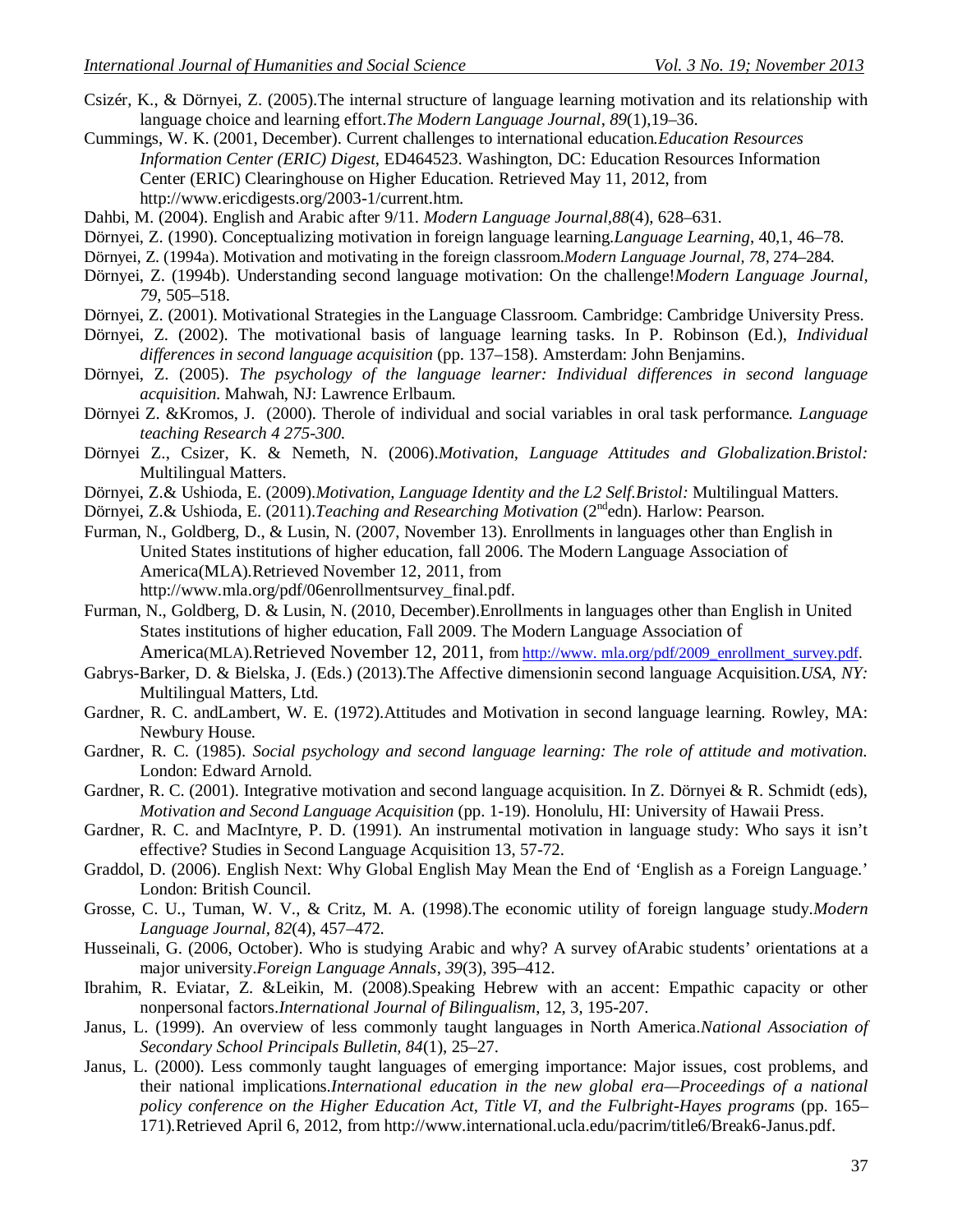- Csizér, K., & Dörnyei, Z. (2005).The internal structure of language learning motivation and its relationship with language choice and learning effort.*The Modern Language Journal*, *89*(1),19–36.
- Cummings, W. K. (2001, December). Current challenges to international education*.Education Resources Information Center (ERIC) Digest*, ED464523. Washington, DC: Education Resources Information Center (ERIC) Clearinghouse on Higher Education. Retrieved May 11, 2012, from http://www.ericdigests.org/2003-1/current.htm.
- Dahbi, M. (2004). English and Arabic after 9/11. *Modern Language Journal,88*(4), 628–631.
- Dörnyei, Z. (1990). Conceptualizing motivation in foreign language learning.*Language Learning*, 40,1, 46–78.
- Dörnyei, Z. (1994a). Motivation and motivating in the foreign classroom.*Modern Language Journal, 78*, 274–284.
- Dörnyei, Z. (1994b). Understanding second language motivation: On the challenge!*Modern Language Journal, 79*, 505–518.
- Dörnyei, Z. (2001). Motivational Strategies in the Language Classroom. Cambridge: Cambridge University Press.
- Dörnyei, Z. (2002). The motivational basis of language learning tasks. In P. Robinson (Ed.), *Individual differences in second language acquisition* (pp. 137–158). Amsterdam: John Benjamins.
- Dörnyei, Z. (2005). *The psychology of the language learner: Individual differences in second language acquisition*. Mahwah, NJ: Lawrence Erlbaum.
- Dörnyei Z. &Kromos, J. (2000). Therole of individual and social variables in oral task performance*. Language teaching Research 4 275-300.*
- Dörnyei Z., Csizer, K. & Nemeth, N. (2006).*Motivation, Language Attitudes and Globalization.Bristol:*  Multilingual Matters.
- Dörnyei, Z.& Ushioda, E. (2009).*Motivation, Language Identity and the L2 Self.Bristol:* Multilingual Matters.
- Dörnyei, Z.& Ushioda, E. (2011).*Teaching and Researching Motivation* (2<sup>nd</sup>edn). Harlow: Pearson.
- Furman, N., Goldberg, D., & Lusin, N. (2007, November 13). Enrollments in languages other than English in United States institutions of higher education, fall 2006. The Modern Language Association of America(MLA)*.*Retrieved November 12, 2011, from http://www.mla.org/pdf/06enrollmentsurvey\_final.pdf.
- Furman, N., Goldberg, D. & Lusin, N. (2010, December).Enrollments in languages other than English in United States institutions of higher education, Fall 2009. The Modern Language Association of

America(MLA)<sub></sub>.Retrieved November 12, 2011, from http://www.mla.org/pdf/2009\_enrollment\_survey.pdf.

- Gabrys-Barker, D. & Bielska, J. (Eds.) (2013).The Affective dimensionin second language Acquisition.*USA, NY:*  Multilingual Matters, Ltd.
- Gardner, R. C. andLambert, W. E. (1972).Attitudes and Motivation in second language learning. Rowley, MA: Newbury House.
- Gardner, R. C. (1985). *Social psychology and second language learning: The role of attitude and motivation.*  London: Edward Arnold.
- Gardner, R. C. (2001). Integrative motivation and second language acquisition. In Z. Dörnyei & R. Schmidt (eds), *Motivation and Second Language Acquisition* (pp. 1-19). Honolulu, HI: University of Hawaii Press.
- Gardner, R. C. and MacIntyre, P. D. (1991). An instrumental motivation in language study: Who says it isn't effective? Studies in Second Language Acquisition 13, 57-72.
- Graddol, D. (2006). English Next: Why Global English May Mean the End of 'English as a Foreign Language.' London: British Council.
- Grosse, C. U., Tuman, W. V., & Critz, M. A. (1998).The economic utility of foreign language study.*Modern Language Journal, 82*(4), 457–472.
- Husseinali, G. (2006, October). Who is studying Arabic and why? A survey ofArabic students' orientations at a major university.*Foreign Language Annals*, *39*(3), 395–412.
- Ibrahim, R. Eviatar, Z. &Leikin, M. (2008).Speaking Hebrew with an accent: Empathic capacity or other nonpersonal factors.*International Journal of Bilingualism*, 12, 3, 195-207.
- Janus, L. (1999). An overview of less commonly taught languages in North America.*National Association of Secondary School Principals Bulletin, 84*(1), 25–27.
- Janus, L. (2000). Less commonly taught languages of emerging importance: Major issues, cost problems, and their national implications.*International education in the new global era—Proceedings of a national policy conference on the Higher Education Act, Title VI, and the Fulbright-Hayes programs (pp. 165–* 171)*.*Retrieved April 6, 2012, from http://www.international.ucla.edu/pacrim/title6/Break6-Janus.pdf.